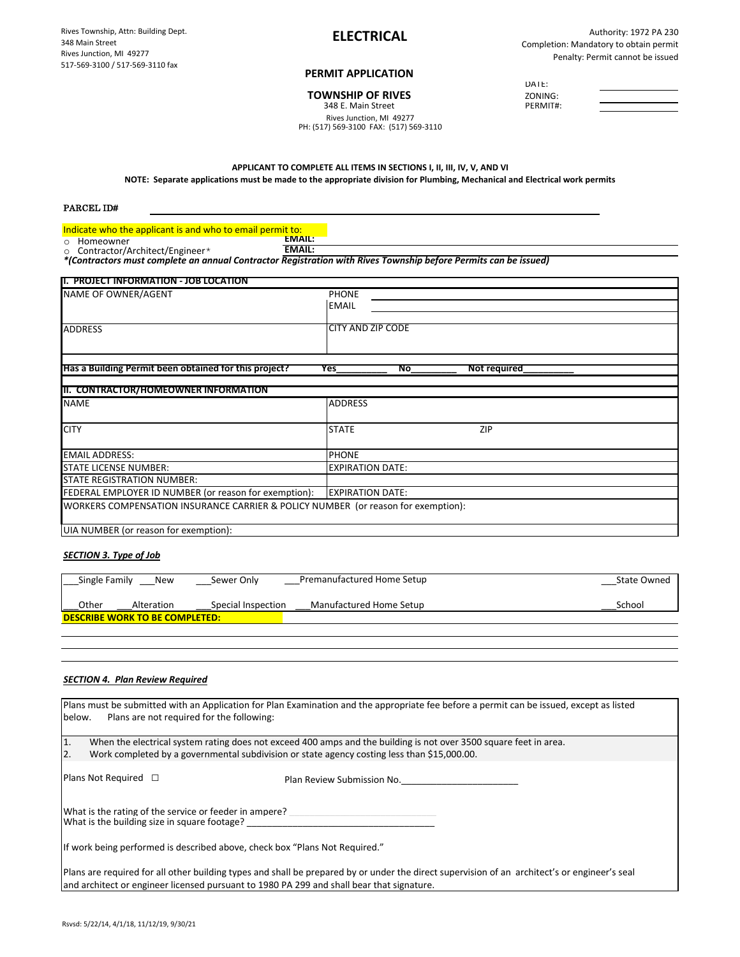## **PERMIT APPLICATION**

## **TOWNSHIP OF RIVES**

PH: (517) 569-3100 FAX: (517) 569-3110 Rives Junction, MI 49277 348 E. Main Street

DATE: ZONING: PERMIT#:

| the contract of the contract of the contract of the contract of the contract of the contract of the contract of |  |  |
|-----------------------------------------------------------------------------------------------------------------|--|--|
|                                                                                                                 |  |  |
|                                                                                                                 |  |  |

# **APPLICANT TO COMPLETE ALL ITEMS IN SECTIONS I, II, III, IV, V, AND VI**

**NOTE: Separate applications must be made to the appropriate division for Plumbing, Mechanical and Electrical work permits**

#### PARCEL ID#

*\*(Contractors must complete an annual Contractor Registration with Rives Township before Permits can be issued)*

| NAME OF OWNER/AGENT                                                               | <b>PHONE</b>             |    |                     |  |
|-----------------------------------------------------------------------------------|--------------------------|----|---------------------|--|
|                                                                                   | <b>EMAIL</b>             |    |                     |  |
|                                                                                   |                          |    |                     |  |
| <b>ADDRESS</b>                                                                    | <b>CITY AND ZIP CODE</b> |    |                     |  |
|                                                                                   |                          |    |                     |  |
| Has a Building Permit been obtained for this project?                             | Yes                      | No | <b>Not required</b> |  |
| <b>III. CONTRACTOR/HOMEOWNER INFORMATION</b>                                      |                          |    |                     |  |
| <b>NAME</b>                                                                       | <b>ADDRESS</b>           |    |                     |  |
| <b>CITY</b>                                                                       | <b>STATE</b>             |    | ZIP                 |  |
| <b>EMAIL ADDRESS:</b>                                                             | <b>PHONE</b>             |    |                     |  |
| <b>STATE LICENSE NUMBER:</b>                                                      | <b>EXPIRATION DATE:</b>  |    |                     |  |
| <b>STATE REGISTRATION NUMBER:</b>                                                 |                          |    |                     |  |
| FEDERAL EMPLOYER ID NUMBER (or reason for exemption):                             | <b>EXPIRATION DATE:</b>  |    |                     |  |
| WORKERS COMPENSATION INSURANCE CARRIER & POLICY NUMBER (or reason for exemption): |                          |    |                     |  |
| UIA NUMBER (or reason for exemption):                                             |                          |    |                     |  |

## *SECTION 3. Type of Job*

| Single Family                         | New        | Sewer Only         | Premanufactured Home Setup | State Owned |
|---------------------------------------|------------|--------------------|----------------------------|-------------|
| Other                                 | Alteration | Special Inspection | Manufactured Home Setup    | School      |
| <b>DESCRIBE WORK TO BE COMPLETED:</b> |            |                    |                            |             |
|                                       |            |                    |                            |             |

## *SECTION 4. Plan Review Required*

| Plans must be submitted with an Application for Plan Examination and the appropriate fee before a permit can be issued, except as listed      |  |  |  |  |
|-----------------------------------------------------------------------------------------------------------------------------------------------|--|--|--|--|
| below.<br>Plans are not required for the following:                                                                                           |  |  |  |  |
|                                                                                                                                               |  |  |  |  |
| 1.<br>When the electrical system rating does not exceed 400 amps and the building is not over 3500 square feet in area.                       |  |  |  |  |
| 2.<br>Work completed by a governmental subdivision or state agency costing less than \$15,000.00.                                             |  |  |  |  |
|                                                                                                                                               |  |  |  |  |
| Plans Not Required $\square$<br>Plan Review Submission No.                                                                                    |  |  |  |  |
|                                                                                                                                               |  |  |  |  |
|                                                                                                                                               |  |  |  |  |
| What is the rating of the service or feeder in ampere?<br>What is the building size in square footage?                                        |  |  |  |  |
|                                                                                                                                               |  |  |  |  |
|                                                                                                                                               |  |  |  |  |
| If work being performed is described above, check box "Plans Not Required."                                                                   |  |  |  |  |
|                                                                                                                                               |  |  |  |  |
| Plans are required for all other building types and shall be prepared by or under the direct supervision of an architect's or engineer's seal |  |  |  |  |

and architect or engineer licensed pursuant to 1980 PA 299 and shall bear that signature.